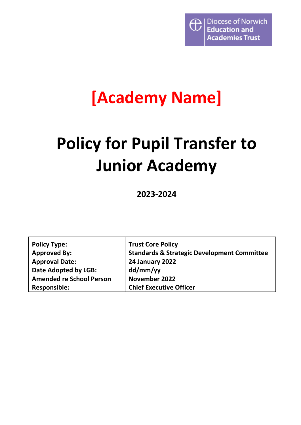

## **[Academy Name]**

# **Policy for Pupil Transfer to Junior Academy**

**2023-2024**

| <b>Policy Type:</b>             | <b>Trust Core Policy</b>                               |
|---------------------------------|--------------------------------------------------------|
| <b>Approved By:</b>             | <b>Standards &amp; Strategic Development Committee</b> |
| <b>Approval Date:</b>           | 24 January 2022                                        |
| Date Adopted by LGB:            | dd/mm/yy                                               |
| <b>Amended re School Person</b> | November 2022                                          |
| <b>Responsible:</b>             | <b>Chief Executive Officer</b>                         |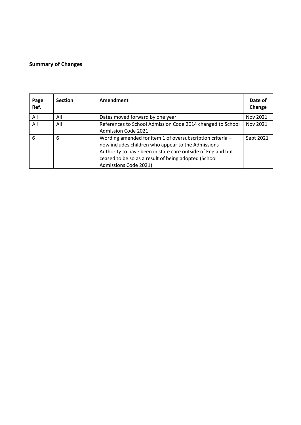#### <span id="page-1-0"></span>**Summary of Changes**

| Page<br>Ref. | <b>Section</b> | Amendment                                                                                                                                                                                                                                                       | Date of<br>Change |
|--------------|----------------|-----------------------------------------------------------------------------------------------------------------------------------------------------------------------------------------------------------------------------------------------------------------|-------------------|
| All          | All            | Dates moved forward by one year                                                                                                                                                                                                                                 | Nov 2021          |
| All          | All            | References to School Admission Code 2014 changed to School<br>Admission Code 2021                                                                                                                                                                               | Nov 2021          |
| 6            | 6              | Wording amended for item 1 of oversubscription criteria -<br>now includes children who appear to the Admissions<br>Authority to have been in state care outside of England but<br>ceased to be so as a result of being adopted (School<br>Admissions Code 2021) | Sept 2021         |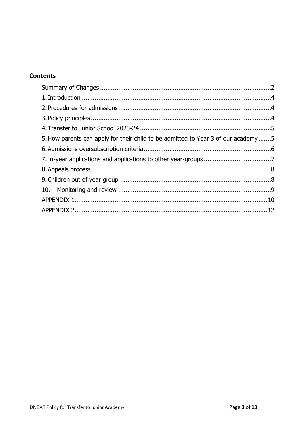## **Contents**

| 5. How parents can apply for their child to be admitted to Year 3 of our academy5 |  |
|-----------------------------------------------------------------------------------|--|
|                                                                                   |  |
|                                                                                   |  |
|                                                                                   |  |
|                                                                                   |  |
|                                                                                   |  |
|                                                                                   |  |
|                                                                                   |  |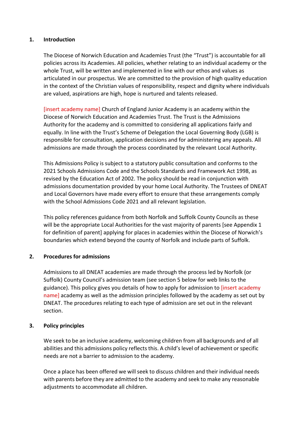#### <span id="page-3-0"></span>**1. Introduction**

The Diocese of Norwich Education and Academies Trust (the "Trust") is accountable for all policies across its Academies. All policies, whether relating to an individual academy or the whole Trust, will be written and implemented in line with our ethos and values as articulated in our prospectus. We are committed to the provision of high quality education in the context of the Christian values of responsibility, respect and dignity where individuals are valued, aspirations are high, hope is nurtured and talents released.

[insert academy name] Church of England Junior Academy is an academy within the Diocese of Norwich Education and Academies Trust. The Trust is the Admissions Authority for the academy and is committed to considering all applications fairly and equally. In line with the Trust's Scheme of Delegation the Local Governing Body (LGB) is responsible for consultation, application decisions and for administering any appeals. All admissions are made through the process coordinated by the relevant Local Authority.

This Admissions Policy is subject to a statutory public consultation and conforms to the 2021 Schools Admissions Code and the Schools Standards and Framework Act 1998, as revised by the Education Act of 2002. The policy should be read in conjunction with admissions documentation provided by your home Local Authority. The Trustees of DNEAT and Local Governors have made every effort to ensure that these arrangements comply with the School Admissions Code 2021 and all relevant legislation.

This policy references guidance from both Norfolk and Suffolk County Councils as these will be the appropriate Local Authorities for the vast majority of parents [see Appendix 1 for definition of parent] applying for places in academies within the Diocese of Norwich's boundaries which extend beyond the county of Norfolk and include parts of Suffolk.

#### <span id="page-3-1"></span>**2. Procedures for admissions**

Admissions to all DNEAT academies are made through the process led by Norfolk (or Suffolk) County Council's admission team (see section 5 below for web links to the guidance). This policy gives you details of how to apply for admission to [insert academy name] academy as well as the admission principles followed by the academy as set out by DNEAT. The procedures relating to each type of admission are set out in the relevant section.

#### <span id="page-3-2"></span>**3. Policy principles**

We seek to be an inclusive academy, welcoming children from all backgrounds and of all abilities and this admissions policy reflects this. A child's level of achievement or specific needs are not a barrier to admission to the academy.

Once a place has been offered we will seek to discuss children and their individual needs with parents before they are admitted to the academy and seek to make any reasonable adjustments to accommodate all children.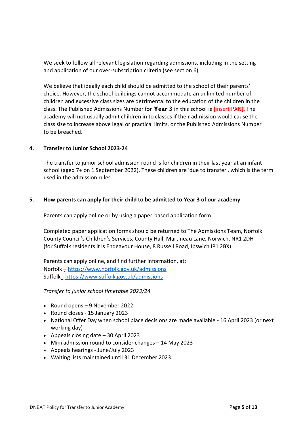We seek to follow all relevant legislation regarding admissions, including in the setting and application of our over-subscription criteria (see section 6).

We believe that ideally each child should be admitted to the school of their parents' choice. However, the school buildings cannot accommodate an unlimited number of children and excessive class sizes are detrimental to the education of the children in the class. The Published Admissions Number for **Year 3** in this school is [insert PAN]. The academy will not usually admit children in to classes if their admission would cause the class size to increase above legal or practical limits, or the Published Admissions Number to be breached.

#### <span id="page-4-0"></span>**4. Transfer to Junior School 2023-24**

The transfer to junior school admission round is for children in their last year at an infant school (aged 7+ on 1 September 2022). These children are 'due to transfer', which is the term used in the admission rules.

#### <span id="page-4-1"></span>**5. How parents can apply for their child to be admitted to Year 3 of our academy**

Parents can apply online or by using a paper-based application form.

Completed paper application forms should be returned to The Admissions Team, Norfolk County Council's Children's Services, County Hall, Martineau Lane, Norwich, NR1 2DH (for Suffolk residents it is Endeavour House, 8 Russell Road, Ipswich IP1 2BX)

Parents can apply online, and find further information, at: Norfolk – <https://www.norfolk.gov.uk/admissions> Suffolk - <https://www.suffolk.gov.uk/admissions>

*Transfer to junior school timetable 2023/24*

- Round opens 9 November 2022
- Round closes 15 January 2023
- National Offer Day when school place decisions are made available 16 April 2023 (or next working day)
- Appeals closing date 30 April 2023
- Mini admission round to consider changes 14 May 2023
- Appeals hearings June/July 2023
- Waiting lists maintained until 31 December 2023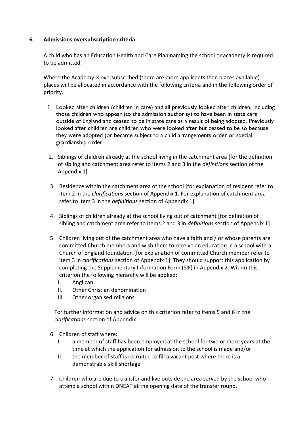#### <span id="page-5-0"></span>**6. Admissions oversubscription criteria**

A child who has an Education Health and Care Plan naming the school or academy is required to be admitted.

Where the Academy is oversubscribed (there are more applicants than places available) places will be allocated in accordance with the following criteria and in the following order of priority.

- 1. Looked after children (children in care) and all previously looked after children, including those children who appear (to the admission authority) to have been in state care outside of England and ceased to be in state care as a result of being adopted. Previously looked after children are children who were looked after but ceased to be so because they were adopted (or became subject to a child arrangements order or special guardianship order
- 2. Siblings of children already at the school living in the catchment area [for the definition of sibling and catchment area refer to items 2 and 3 in the *definitions* section of the Appendix 1]
- 3. Residence within the catchment area of the school [for explanation of resident refer to item 2 in the *clarifications* section of Appendix 1. For explanation of catchment area refer to item 3 in the *definitions* section of Appendix 1].
- 4. Siblings of children already at the school living out of catchment [for definition of sibling and catchment area refer to items 2 and 3 in *definitions* section of Appendix 1].
- 5. Children living out of the catchment area who have a faith and / or whose parents are committed Church members and wish them to receive an education in a school with a Church of England foundation [for explanation of committed Church member refer to item 3 in *clarifications* section of Appendix 1]. They should support this application by completing the Supplementary Information Form (SIF) in Appendix 2. Within this criterion the following hierarchy will be applied:
	- I. Anglican
	- II. Other Christian denomination
	- III. Other organised religions

For further information and advice on this criterion refer to items 5 and 6 in the *clarifications* section of Appendix 1.

- 6. Children of staff where:
	- I. a member of staff has been employed at the school for two or more years at the time at which the application for admission to the school is made and/or
	- II. the member of staff is recruited to fill a vacant post where there is a demonstrable skill shortage
- 7. Children who are due to transfer and live outside the area served by the school who attend a school within DNEAT at the opening date of the transfer round.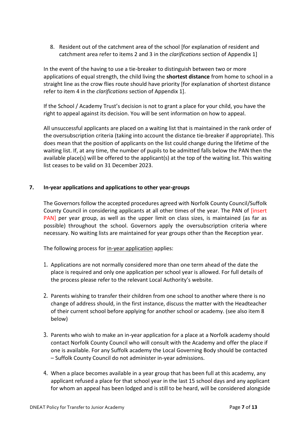8. Resident out of the catchment area of the school [for explanation of resident and catchment area refer to items 2 and 3 in the *clarifications* section of Appendix 1]

In the event of the having to use a tie-breaker to distinguish between two or more applications of equal strength, the child living the **shortest distance** from home to school in a straight line as the crow flies route should have priority [for explanation of shortest distance refer to item 4 in the *clarifications* section of Appendix 1].

If the School / Academy Trust's decision is not to grant a place for your child, you have the right to appeal against its decision. You will be sent information on how to appeal.

All unsuccessful applicants are placed on a waiting list that is maintained in the rank order of the oversubscription criteria (taking into account the distance tie-breaker if appropriate). This does mean that the position of applicants on the list could change during the lifetime of the waiting list. If, at any time, the number of pupils to be admitted falls below the PAN then the available place(s) will be offered to the applicant(s) at the top of the waiting list. This waiting list ceases to be valid on 31 December 2023.

#### <span id="page-6-0"></span>**7. In-year applications and applications to other year-groups**

The Governors follow the accepted procedures agreed with Norfolk County Council/Suffolk County Council in considering applicants at all other times of the year. The PAN of [insert PAN] per year group, as well as the upper limit on class sizes, is maintained (as far as possible) throughout the school. Governors apply the oversubscription criteria where necessary. No waiting lists are maintained for year groups other than the Reception year.

The following process for in-year application applies:

- 1. Applications are not normally considered more than one term ahead of the date the place is required and only one application per school year is allowed. For full details of the process please refer to the relevant Local Authority's website.
- 2. Parents wishing to transfer their children from one school to another where there is no change of address should, in the first instance, discuss the matter with the Headteacher of their current school before applying for another school or academy. (see also item 8 below)
- 3. Parents who wish to make an in-year application for a place at a Norfolk academy should contact Norfolk County Council who will consult with the Academy and offer the place if one is available. For any Suffolk academy the Local Governing Body should be contacted – Suffolk County Council do not administer in-year admissions.
- 4. When a place becomes available in a year group that has been full at this academy, any applicant refused a place for that school year in the last 15 school days and any applicant for whom an appeal has been lodged and is still to be heard, will be considered alongside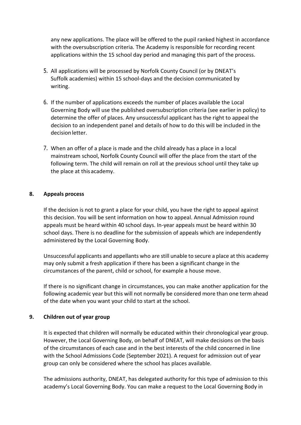any new applications. The place will be offered to the pupil ranked highest in accordance with the oversubscription criteria. The Academy is responsible for recording recent applications within the 15 school day period and managing this part of the process.

- 5. All applications will be processed by Norfolk County Council (or by DNEAT's Suffolk academies) within 15 school-days and the decision communicated by writing.
- 6. If the number of applications exceeds the number of places available the Local Governing Body will use the published oversubscription criteria (see earlier in policy) to determine the offer of places. Any unsuccessful applicant has the right to appeal the decision to an independent panel and details of how to do this will be included in the decision letter.
- 7. When an offer of a place is made and the child already has a place in a local mainstream school, Norfolk County Council will offer the place from the start of the following term. The child will remain on roll at the previous school until they take up the place at thisacademy.

#### <span id="page-7-0"></span>**8. Appeals process**

If the decision is not to grant a place for your child, you have the right to appeal against this decision. You will be sent information on how to appeal. Annual Admission round appeals must be heard within 40 school days. In-year appeals must be heard within 30 school days. There is no deadline for the submission of appeals which are independently administered by the Local Governing Body.

Unsuccessful applicants and appellants who are still unable to secure a place at this academy may only submit a fresh application if there has been a significant change in the circumstances of the parent, child or school, for example a house move.

If there is no significant change in circumstances, you can make another application for the following academic year but this will not normally be considered more than one term ahead of the date when you want your child to start at the school.

#### <span id="page-7-1"></span>**9. Children out of year group**

It is expected that children will normally be educated within their chronological year group. However, the Local Governing Body, on behalf of DNEAT, will make decisions on the basis of the circumstances of each case and in the best interests of the child concerned in line with the School Admissions Code (September 2021). A request for admission out of year group can only be considered where the school has places available.

The admissions authority, DNEAT, has delegated authority for this type of admission to this academy's Local Governing Body. You can make a request to the Local Governing Body in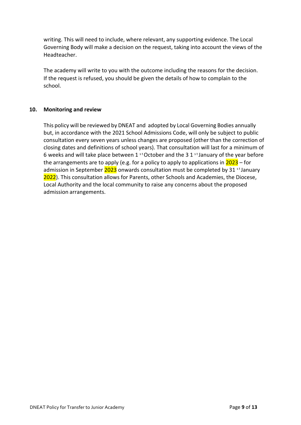writing. This will need to include, where relevant, any supporting evidence. The Local Governing Body will make a decision on the request, taking into account the views of the Headteacher.

The academy will write to you with the outcome including the reasons for the decision. If the request is refused, you should be given the details of how to complain to the school.

#### <span id="page-8-0"></span>**10. Monitoring and review**

This policy will be reviewed by DNEAT and adopted by Local Governing Bodies annually but, in accordance with the 2021 School Admissions Code, will only be subject to public consultation every seven years unless changes are proposed (other than the correction of closing dates and definitions of school years). That consultation will last for a minimum of 6 weeks and will take place between 1  $^{\text{st}}$  October and the 3 1  $^{\text{st}}$  January of the year before the arrangements are to apply (e.g. for a policy to apply to applications in  $2023$  – for admission in September  $2023$  onwards consultation must be completed by 31 st January 2022). This consultation allows for Parents, other Schools and Academies, the Diocese, Local Authority and the local community to raise any concerns about the proposed admission arrangements.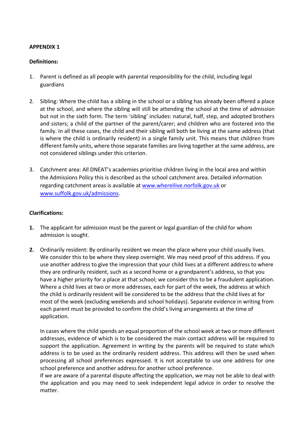#### <span id="page-9-0"></span>**APPENDIX 1**

#### **Definitions:**

- 1. Parent is defined as all people with parental responsibility for the child, including legal guardians
- 2. Sibling: Where the child has a sibling in the school or a sibling has already been offered a place at the school, and where the sibling will still be attending the school at the time of admission but not in the sixth form. The term 'sibling' includes: natural, half, step, and adopted brothers and sisters; a child of the partner of the parent/carer; and children who are fostered into the family. In all these cases, the child and their sibling will both be living at the same address (that is where the child is ordinarily resident) in a single family unit. This means that children from different family units, where those separate families are living together at the same address, are not considered siblings under this criterion.
- 3. Catchment area: All DNEAT's academies prioritise children living in the local area and within the Admissions Policy this is described as the school catchment area. Detailed information regarding catchment areas is available at www.wherellive.norfolk.gov.uk or [www.suffolk.gov.uk/admissions.](http://www.suffolk.gov.uk/admissions)

#### **Clarifications:**

- **1.** The applicant for admission must be the parent or legal guardian of the child for whom admission is sought.
- **2.** Ordinarily resident: By ordinarily resident we mean the place where your child usually lives. We consider this to be where they sleep overnight. We may need proof of this address. If you use another address to give the impression that your child lives at a different address to where they are ordinarily resident, such as a second home or a grandparent's address, so that you have a higher priority for a place at that school; we consider this to be a fraudulent application. Where a child lives at two or more addresses, each for part of the week, the address at which the child is ordinarily resident will be considered to be the address that the child lives at for most of the week (excluding weekends and school holidays). Separate evidence in writing from each parent must be provided to confirm the child's living arrangements at the time of application.

In cases where the child spends an equal proportion of the school week at two or more different addresses, evidence of which is to be considered the main contact address will be required to support the application. Agreement in writing by the parents will be required to state which address is to be used as the ordinarily resident address. This address will then be used when processing all school preferences expressed. It is not acceptable to use one address for one school preference and another address for another school preference.

If we are aware of a parental dispute affecting the application, we may not be able to deal with the application and you may need to seek independent legal advice in order to resolve the matter.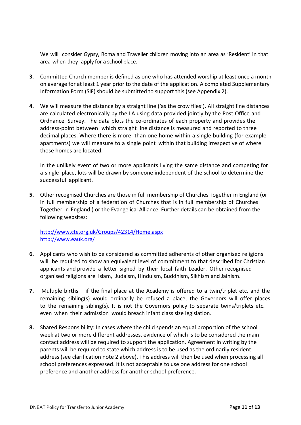We will consider Gypsy, Roma and Traveller children moving into an area as 'Resident' in that area when they apply for a school place.

- **3.** Committed Church member is defined as one who has attended worship at least once a month on average for at least 1 year prior to the date of the application. A completed Supplementary Information Form (SIF) should be submitted to support this (see Appendix 2).
- **4.** We will measure the distance by a straight line ('as the crow flies'). All straight line distances are calculated electronically by the LA using data provided jointly by the Post Office and Ordnance Survey. The data plots the co-ordinates of each property and provides the address-point between which straight line distance is measured and reported to three decimal places. Where there is more than one home within a single building (for example apartments) we will measure to a single point within that building irrespective of where those homes are located.

In the unlikely event of two or more applicants living the same distance and competing for a single place, lots will be drawn by someone independent of the school to determine the successful applicant.

**5.** Other recognised Churches are those in full membership of Churches Together in England (or in full membership of a federation of Churches that is in full membership of Churches Together in England.) or the Evangelical Alliance. Further details can be obtained from the following websites:

<http://www.cte.org.uk/Groups/42314/Home.aspx> <http://www.eauk.org/>

- **6.** Applicants who wish to be considered as committed adherents of other organised religions will be required to show an equivalent level of commitment to that described for Christian applicants and provide a letter signed by their local faith Leader. Other recognised organised religions are Islam, Judaism, Hinduism, Buddhism, Sikhism and Jainism.
- **7.** Multiple births if the final place at the Academy is offered to a twin/triplet etc. and the remaining sibling(s) would ordinarily be refused a place, the Governors will offer places to the remaining sibling(s). It is not the Governors policy to separate twins/triplets etc. even when their admission would breach infant class size legislation.
- **8.** Shared Responsibility: In cases where the child spends an equal proportion of the school week at two or more different addresses, evidence of which is to be considered the main contact address will be required to support the application. Agreement in writing by the parents will be required to state which address is to be used as the ordinarily resident address (see clarification note 2 above). This address will then be used when processing all school preferences expressed. It is not acceptable to use one address for one school preference and another address for another school preference.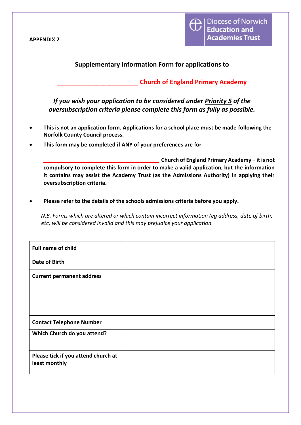<span id="page-11-0"></span>**APPENDIX 2**



### **Supplementary Information Form for applications to**

**\_\_\_\_\_\_\_\_\_\_\_\_\_\_\_\_\_\_\_\_\_\_\_ Church of England Primary Academy**

*If you wish your application to be considered under Priority 5 of the oversubscription criteria please complete this form as fully as possible.*

- **This is not an application form. Applications for a school place must be made following the Norfolk County Council process.**
- **This form may be completed if ANY of your preferences are for**

**\_\_\_\_\_\_\_\_\_\_\_\_\_\_\_\_\_\_\_ Church of England Primary Academy – it is not compulsory to complete this form in order to make a valid application, but the information it contains may assist the Academy Trust (as the Admissions Authority) in applying their oversubscription criteria.**

• **Please refer to the details of the schools admissions criteria before you apply.**

*N.B. Forms which are altered or which contain incorrect information (eg address, date of birth, etc) will be considered invalid and this may prejudice your application.*

| <b>Full name of child</b>                            |  |
|------------------------------------------------------|--|
| <b>Date of Birth</b>                                 |  |
| <b>Current permanent address</b>                     |  |
| <b>Contact Telephone Number</b>                      |  |
| Which Church do you attend?                          |  |
| Please tick if you attend church at<br>least monthly |  |